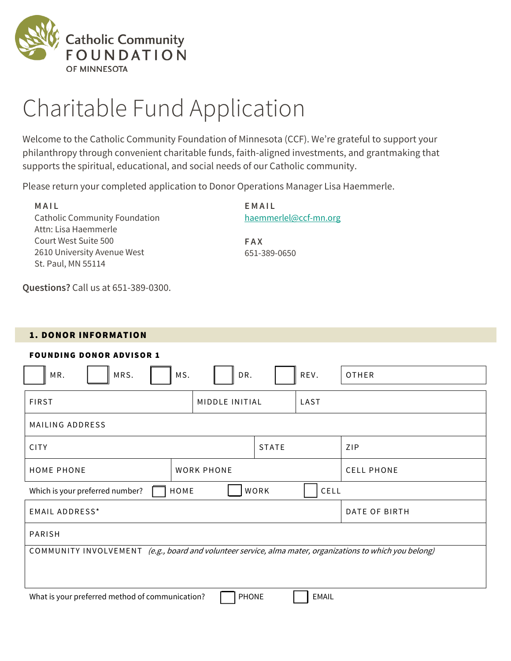

# Charitable Fund Application

Welcome to the Catholic Community Foundation of Minnesota (CCF). We're grateful to support your philanthropy through convenient charitable funds, faith-aligned investments, and grantmaking that supports the spiritual, educational, and social needs of our Catholic community.

Please return your completed application to Donor Operations Manager Lisa Haemmerle.

**M A I L** Catholic Community Foundation Attn: Lisa Haemmerle Court West Suite 500 2610 University Avenue West St. Paul, MN 55114

**E M A I L** [haemmerlel@ccf-mn.org](mailto:haemmerlel@ccf-mn.org)

**F A X** 651-389-0650

**Questions?** Call us at 651-389-0300.

#### 1. DONOR INFORMATION

| <b>FOUNDING DONOR ADVISOR 1</b>                                                                          |              |              |              |                   |  |
|----------------------------------------------------------------------------------------------------------|--------------|--------------|--------------|-------------------|--|
| MRS.<br>MR.<br>MS.                                                                                       | DR.          |              | REV.         | <b>OTHER</b>      |  |
| <b>FIRST</b><br>MIDDLE INITIAL                                                                           |              |              |              |                   |  |
| MAILING ADDRESS                                                                                          |              |              |              |                   |  |
| <b>CITY</b>                                                                                              |              | <b>STATE</b> |              | ZIP               |  |
| <b>WORK PHONE</b><br><b>HOME PHONE</b>                                                                   |              |              |              | <b>CELL PHONE</b> |  |
| HOME<br>WORK<br>CELL<br>Which is your preferred number?                                                  |              |              |              |                   |  |
| <b>EMAIL ADDRESS*</b><br>DATE OF BIRTH                                                                   |              |              |              |                   |  |
| PARISH                                                                                                   |              |              |              |                   |  |
| COMMUNITY INVOLVEMENT (e.g., board and volunteer service, alma mater, organizations to which you belong) |              |              |              |                   |  |
|                                                                                                          |              |              |              |                   |  |
| What is your preferred method of communication?                                                          | <b>PHONE</b> |              | <b>EMAIL</b> |                   |  |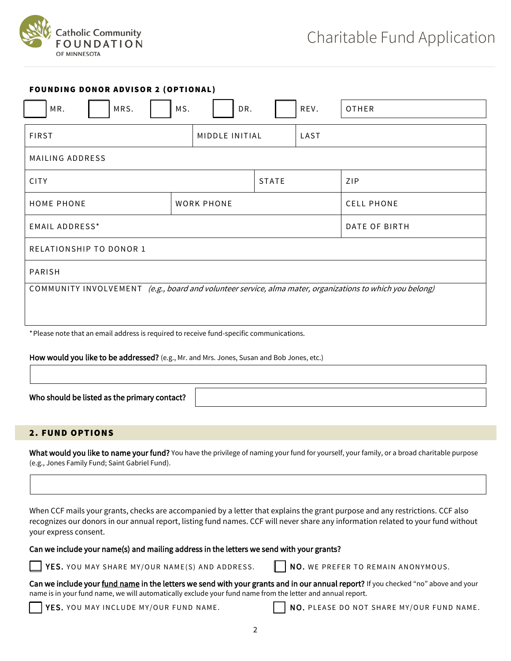

| <b>FOUNDING DONOR ADVISOR 2 (OPTIONAL)</b>                                                               |                |      |      |                   |  |
|----------------------------------------------------------------------------------------------------------|----------------|------|------|-------------------|--|
| MRS.<br>MR.                                                                                              | MS.<br>DR.     |      | REV. | OTHER             |  |
| <b>FIRST</b>                                                                                             | MIDDLE INITIAL | LAST |      |                   |  |
| MAILING ADDRESS                                                                                          |                |      |      |                   |  |
| ZIP<br><b>CITY</b><br><b>STATE</b>                                                                       |                |      |      |                   |  |
| <b>HOME PHONE</b><br><b>WORK PHONE</b>                                                                   |                |      |      | <b>CELL PHONE</b> |  |
| <b>EMAIL ADDRESS*</b><br>DATE OF BIRTH                                                                   |                |      |      |                   |  |
| RELATIONSHIP TO DONOR 1                                                                                  |                |      |      |                   |  |
| PARISH                                                                                                   |                |      |      |                   |  |
| COMMUNITY INVOLVEMENT (e.g., board and volunteer service, alma mater, organizations to which you belong) |                |      |      |                   |  |
|                                                                                                          |                |      |      |                   |  |

\*Please note that an email address is required to receive fund-specific communications.

How would you like to be addressed? (e.g., Mr. and Mrs. Jones, Susan and Bob Jones, etc.)

Who should be listed as the primary contact?

2. FUND OPTIONS

What would you like to name your fund? You have the privilege of naming your fund for yourself, your family, or a broad charitable purpose (e.g., Jones Family Fund; Saint Gabriel Fund).

When CCF mails your grants, checks are accompanied by a letter that explains the grant purpose and any restrictions. CCF also recognizes our donors in our annual report, listing fund names. CCF will never share any information related to your fund without your express consent.

Can we include your name(s) and mailing address in the letters we send with your grants?

YES. YOU MAY SHARE MY/OUR NAME(S) AND ADDRESS.  $\|\cdot\|$  NO. WE PREFER TO REMAIN ANONYMOUS.

Can we include your fund name in the letters we send with your grants and in our annual report? If you checked "no" above and your name is in your fund name, we will automatically exclude your fund name from the letter and annual report.

YES. YOU MAY INCLUDE MY/OUR FUND NAME. NO. PLEASE DO NOT SHARE MY/OUR FUND NAME.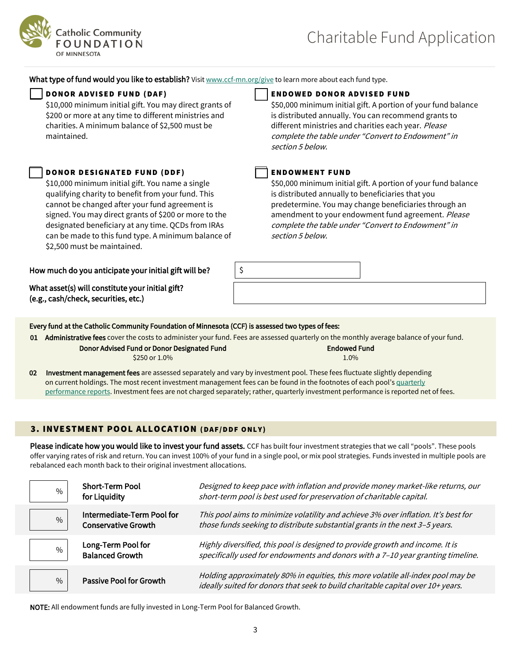

What type of fund would you like to establish? Visit [www.ccf-mn.org/give](http://www.ccf-mn.org/give) to learn more about each fund type.

\$10,000 minimum initial gift. You may direct grants of \$200 or more at any time to different ministries and charities. A minimum balance of \$2,500 must be maintained.

### DONOR DESIGNATED FUND (DDF) THE ROOWMENT FUND

\$10,000 minimum initial gift. You name a single qualifying charity to benefit from your fund. This cannot be changed after your fund agreement is signed. You may direct grants of \$200 or more to the designated beneficiary at any time. QCDs from IRAs can be made to this fund type. A minimum balance of \$2,500 must be maintained.

How much do you anticipate your initial gift will be?  $\vert \mathcal{S} \vert$ 

What asset(s) will constitute your initial gift? (e.g., cash/check, securities, etc.)

#### D O NO R AD VI S E D F U ND ( D A F) E ND O WE D D O NO R AD VI S E D F U ND

\$50,000 minimum initial gift. A portion of your fund balance is distributed annually. You can recommend grants to different ministries and charities each year. Please complete the table under "Convert to Endowment" in section 5 below.

\$50,000 minimum initial gift. A portion of your fund balance is distributed annually to beneficiaries that you predetermine. You may change beneficiaries through an amendment to your endowment fund agreement. Please complete the table under "Convert to Endowment" in section 5 below.

#### Every fund at the Catholic Community Foundation of Minnesota (CCF) is assessed two types of fees:

01 Administrative fees cover the costs to administer your fund. Fees are assessed quarterly on the monthly average balance of your fund.

#### Donor Advised Fund or Donor Designated Fund \$250 or 1.0%

| Endowed Fund |  |  |  |
|--------------|--|--|--|
| 1.0%         |  |  |  |

02 Investment management fees are assessed separately and vary by investment pool. These fees fluctuate slightly depending on current holdings. The most recent investment management fees can be found in the footnotes of each pool's [quarterly](https://www.ccf-mn.org/invest/) [performance reports.](https://www.ccf-mn.org/invest/) Investment fees are not charged separately; rather, quarterly investment performance is reported net of fees.

### 3. INVESTMENT POOL ALLOCATION (DAF/DDF ONLY)

Please indicate how you would like to invest your fund assets. CCF has built four investment strategies that we call "pools". These pools offer varying rates of risk and return. You can invest 100% of your fund in a single pool, or mix pool strategies. Funds invested in multiple pools are rebalanced each month back to their original investment allocations.

| $\%$ | <b>Short-Term Pool</b><br>for Liquidity                  | Designed to keep pace with inflation and provide money market-like returns, our<br>short-term pool is best used for preservation of charitable capital.            |
|------|----------------------------------------------------------|--------------------------------------------------------------------------------------------------------------------------------------------------------------------|
| $\%$ | Intermediate-Term Pool for<br><b>Conservative Growth</b> | This pool aims to minimize volatility and achieve 3% over inflation. It's best for<br>those funds seeking to distribute substantial grants in the next 3-5 years.  |
| $\%$ | Long-Term Pool for<br><b>Balanced Growth</b>             | Highly diversified, this pool is designed to provide growth and income. It is<br>specifically used for endowments and donors with a 7-10 year granting timeline.   |
| $\%$ | <b>Passive Pool for Growth</b>                           | Holding approximately 80% in equities, this more volatile all-index pool may be<br>ideally suited for donors that seek to build charitable capital over 10+ years. |

NOTE: All endowment funds are fully invested in Long-Term Pool for Balanced Growth.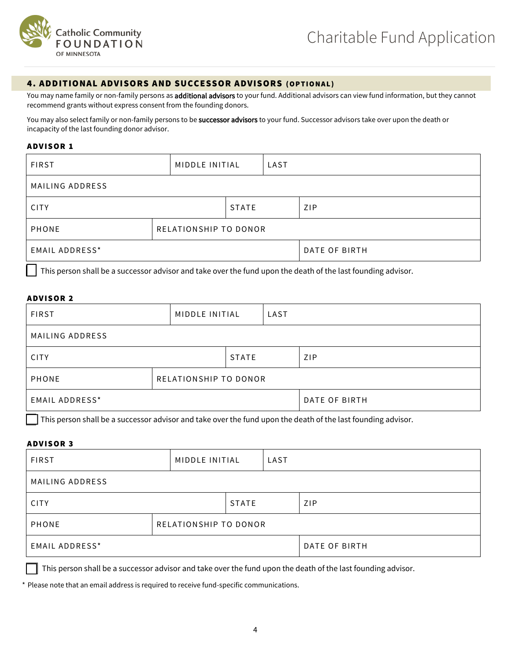

#### 4. ADDITIONAL ADVISORS AND SUCCESSOR ADVISORS (OPTIONAL)

You may name family or non-family persons as additional advisors to your fund. Additional advisors can view fund information, but they cannot recommend grants without express consent from the founding donors.

You may also select family or non-family persons to be successor advisors to your fund. Successor advisors take over upon the death or incapacity of the last founding donor advisor.

#### **ADVISOR 1**

| <b>FIRST</b>          | MIDDLE INITIAL        | LAST  |               |     |
|-----------------------|-----------------------|-------|---------------|-----|
| MAILING ADDRESS       |                       |       |               |     |
| <b>CITY</b>           |                       | STATE |               | ZIP |
| PHONE                 | RELATIONSHIP TO DONOR |       |               |     |
| <b>EMAIL ADDRESS*</b> |                       |       | DATE OF BIRTH |     |

This person shall be a successor advisor and take over the fund upon the death of the last founding advisor.

#### **ADVISOR 2**

| <b>FIRST</b>          | MIDDLE INITIAL        | LAST |     |               |
|-----------------------|-----------------------|------|-----|---------------|
| MAILING ADDRESS       |                       |      |     |               |
| STATE<br><b>CITY</b>  |                       |      | ZIP |               |
| <b>PHONE</b>          | RELATIONSHIP TO DONOR |      |     |               |
| <b>EMAIL ADDRESS*</b> |                       |      |     | DATE OF BIRTH |

This person shall be a successor advisor and take over the fund upon the death of the last founding advisor.

#### **ADVISOR 3**

| <b>FIRST</b>          |                       | MIDDLE INITIAL<br>LAST |  |     |
|-----------------------|-----------------------|------------------------|--|-----|
| MAILING ADDRESS       |                       |                        |  |     |
| <b>CITY</b>           |                       | <b>STATE</b>           |  | ZIP |
| PHONE                 | RELATIONSHIP TO DONOR |                        |  |     |
| <b>EMAIL ADDRESS*</b> |                       | DATE OF BIRTH          |  |     |

This person shall be a successor advisor and take over the fund upon the death of the last founding advisor.

\* Please note that an email address is required to receive fund-specific communications.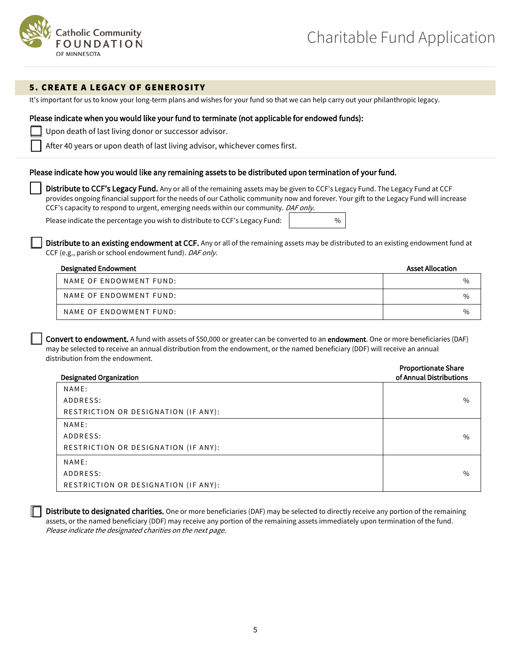

#### 5. CREATE A LEGACY OF GENEROSITY

It's important for us to know your long-term plans and wishes for your fund so that we can help carry out your philanthropic legacy.

#### Please indicate when you would like your fund to terminate (not applicable for endowed funds):

Upon death of last living donor or successor advisor.

After 40 years or upon death of last living advisor, whichever comes first.

#### Please indicate how you would like any remaining assets to be distributed upon termination of your fund.

Distribute to CCF's Legacy Fund. Any or all of the remaining assets may be given to CCF's Legacy Fund. The Legacy Fund at CCF provides ongoing financial support for the needs of our Catholic community now and forever. Your gift to the Legacy Fund will increase CCF's capacity to respond to urgent, emerging needs within our community. DAF only.

Please indicate the percentage you wish to distribute to CCF's Legacy Fund: %

Distribute to an existing endowment at CCF. Any or all of the remaining assets may be distributed to an existing endowment fund at CCF (e.g., parish or school endowment fund). DAF only.

| <b>Designated Endowment</b> | <b>Asset Allocation</b> |
|-----------------------------|-------------------------|
| NAME OF ENDOWMENT FUND:     | $\%$                    |
| NAME OF ENDOWMENT FUND:     | $\%$                    |
| NAME OF ENDOWMENT FUND:     | $\%$                    |

Convert to endowment. A fund with assets of \$50,000 or greater can be converted to an endowment. One or more beneficiaries (DAF) may be selected to receive an annual distribution from the endowment, or the named beneficiary (DDF) will receive an annual distribution from the endowment. Proportionate Share

| <b>Designated Organization</b>       | Proportionate Share<br>of Annual Distributions |
|--------------------------------------|------------------------------------------------|
| NAME:                                |                                                |
| ADDRESS:                             | $\%$                                           |
| RESTRICTION OR DESIGNATION (IF ANY): |                                                |
| NAME:                                |                                                |
| ADDRESS:                             | $\%$                                           |
| RESTRICTION OR DESIGNATION (IF ANY): |                                                |
| NAME:                                |                                                |
| ADDRESS:                             | $\%$                                           |
| RESTRICTION OR DESIGNATION (IF ANY): |                                                |

Distribute to designated charities. One or more beneficiaries (DAF) may be selected to directly receive any portion of the remaining assets, or the named beneficiary (DDF) may receive any portion of the remaining assets immediately upon termination of the fund. Please indicate the designated charities on the next page.